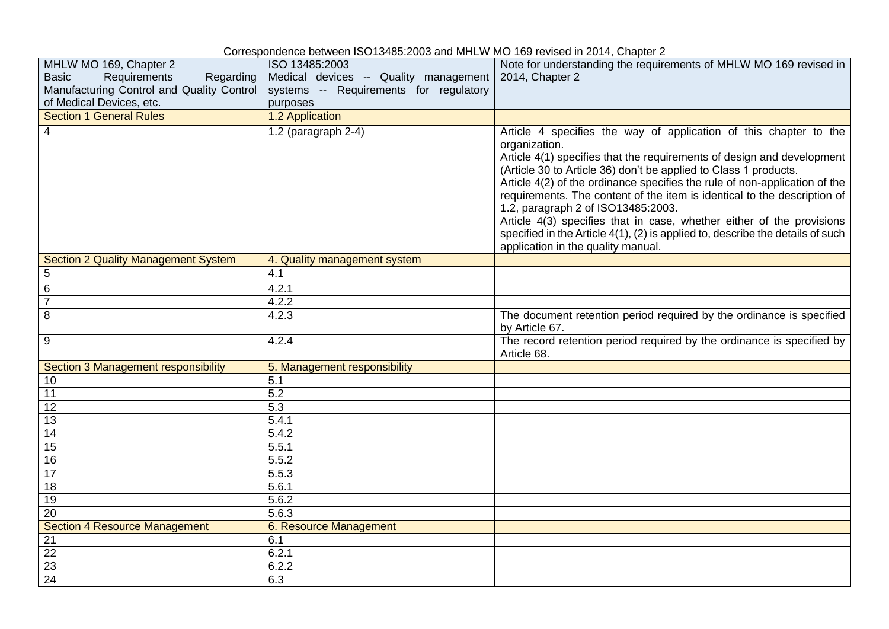|                                                                                                                                              | Concepcitudities between 100 10400.2000 and third in its modification and its 14, Onapter 2                   |                                                                                                                                                                                                                                                                                                                                                                                                                                                                                                                                                                                                                                   |
|----------------------------------------------------------------------------------------------------------------------------------------------|---------------------------------------------------------------------------------------------------------------|-----------------------------------------------------------------------------------------------------------------------------------------------------------------------------------------------------------------------------------------------------------------------------------------------------------------------------------------------------------------------------------------------------------------------------------------------------------------------------------------------------------------------------------------------------------------------------------------------------------------------------------|
| MHLW MO 169, Chapter 2<br><b>Basic</b><br>Requirements<br>Regarding<br>Manufacturing Control and Quality Control<br>of Medical Devices, etc. | ISO 13485:2003<br>Medical devices -- Quality management<br>systems -- Requirements for regulatory<br>purposes | Note for understanding the requirements of MHLW MO 169 revised in<br>2014, Chapter 2                                                                                                                                                                                                                                                                                                                                                                                                                                                                                                                                              |
| <b>Section 1 General Rules</b>                                                                                                               | 1.2 Application                                                                                               |                                                                                                                                                                                                                                                                                                                                                                                                                                                                                                                                                                                                                                   |
| 4                                                                                                                                            | 1.2 (paragraph $2-4$ )                                                                                        | Article 4 specifies the way of application of this chapter to the<br>organization.<br>Article 4(1) specifies that the requirements of design and development<br>(Article 30 to Article 36) don't be applied to Class 1 products.<br>Article 4(2) of the ordinance specifies the rule of non-application of the<br>requirements. The content of the item is identical to the description of<br>1.2, paragraph 2 of ISO13485:2003.<br>Article 4(3) specifies that in case, whether either of the provisions<br>specified in the Article 4(1), (2) is applied to, describe the details of such<br>application in the quality manual. |
| <b>Section 2 Quality Management System</b>                                                                                                   | 4. Quality management system                                                                                  |                                                                                                                                                                                                                                                                                                                                                                                                                                                                                                                                                                                                                                   |
| 5                                                                                                                                            | 4.1                                                                                                           |                                                                                                                                                                                                                                                                                                                                                                                                                                                                                                                                                                                                                                   |
| 6                                                                                                                                            | 4.2.1                                                                                                         |                                                                                                                                                                                                                                                                                                                                                                                                                                                                                                                                                                                                                                   |
| $\overline{7}$                                                                                                                               | 4.2.2                                                                                                         |                                                                                                                                                                                                                                                                                                                                                                                                                                                                                                                                                                                                                                   |
| 8                                                                                                                                            | 4.2.3                                                                                                         | The document retention period required by the ordinance is specified<br>by Article 67.                                                                                                                                                                                                                                                                                                                                                                                                                                                                                                                                            |
| 9                                                                                                                                            | 4.2.4                                                                                                         | The record retention period required by the ordinance is specified by<br>Article 68.                                                                                                                                                                                                                                                                                                                                                                                                                                                                                                                                              |
| Section 3 Management responsibility                                                                                                          | 5. Management responsibility                                                                                  |                                                                                                                                                                                                                                                                                                                                                                                                                                                                                                                                                                                                                                   |
| 10                                                                                                                                           | 5.1                                                                                                           |                                                                                                                                                                                                                                                                                                                                                                                                                                                                                                                                                                                                                                   |
| 11                                                                                                                                           | 5.2                                                                                                           |                                                                                                                                                                                                                                                                                                                                                                                                                                                                                                                                                                                                                                   |
| 12                                                                                                                                           | $\overline{5.3}$                                                                                              |                                                                                                                                                                                                                                                                                                                                                                                                                                                                                                                                                                                                                                   |
| 13                                                                                                                                           | 5.4.1                                                                                                         |                                                                                                                                                                                                                                                                                                                                                                                                                                                                                                                                                                                                                                   |
| 14                                                                                                                                           | 5.4.2                                                                                                         |                                                                                                                                                                                                                                                                                                                                                                                                                                                                                                                                                                                                                                   |
| 15                                                                                                                                           | 5.5.1                                                                                                         |                                                                                                                                                                                                                                                                                                                                                                                                                                                                                                                                                                                                                                   |
| 16                                                                                                                                           | 5.5.2                                                                                                         |                                                                                                                                                                                                                                                                                                                                                                                                                                                                                                                                                                                                                                   |
| $\overline{17}$                                                                                                                              | 5.5.3                                                                                                         |                                                                                                                                                                                                                                                                                                                                                                                                                                                                                                                                                                                                                                   |
| 18                                                                                                                                           | 5.6.1                                                                                                         |                                                                                                                                                                                                                                                                                                                                                                                                                                                                                                                                                                                                                                   |
| 19                                                                                                                                           | 5.6.2                                                                                                         |                                                                                                                                                                                                                                                                                                                                                                                                                                                                                                                                                                                                                                   |
| $\overline{20}$                                                                                                                              | 5.6.3                                                                                                         |                                                                                                                                                                                                                                                                                                                                                                                                                                                                                                                                                                                                                                   |
| <b>Section 4 Resource Management</b>                                                                                                         | 6. Resource Management                                                                                        |                                                                                                                                                                                                                                                                                                                                                                                                                                                                                                                                                                                                                                   |
| $\overline{21}$                                                                                                                              | 6.1                                                                                                           |                                                                                                                                                                                                                                                                                                                                                                                                                                                                                                                                                                                                                                   |
| 22                                                                                                                                           | 6.2.1                                                                                                         |                                                                                                                                                                                                                                                                                                                                                                                                                                                                                                                                                                                                                                   |
| $\overline{23}$                                                                                                                              | 6.2.2                                                                                                         |                                                                                                                                                                                                                                                                                                                                                                                                                                                                                                                                                                                                                                   |
| $\overline{24}$                                                                                                                              | 6.3                                                                                                           |                                                                                                                                                                                                                                                                                                                                                                                                                                                                                                                                                                                                                                   |
|                                                                                                                                              |                                                                                                               |                                                                                                                                                                                                                                                                                                                                                                                                                                                                                                                                                                                                                                   |

Correspondence between ISO13485:2003 and MHLW MO 169 revised in 2014, Chapter 2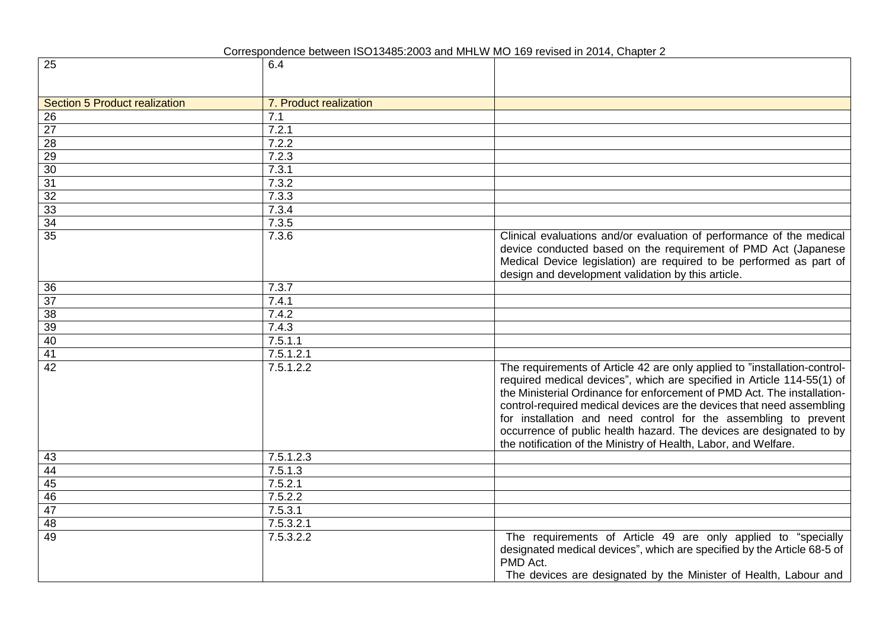Correspondence between ISO13485:2003 and MHLW MO 169 revised in 2014, Chapter 2

| 25                            | 6.4                    |                                                                                                                                                                                                                                                                                                                                                                                                                                                                                                                       |
|-------------------------------|------------------------|-----------------------------------------------------------------------------------------------------------------------------------------------------------------------------------------------------------------------------------------------------------------------------------------------------------------------------------------------------------------------------------------------------------------------------------------------------------------------------------------------------------------------|
|                               |                        |                                                                                                                                                                                                                                                                                                                                                                                                                                                                                                                       |
|                               |                        |                                                                                                                                                                                                                                                                                                                                                                                                                                                                                                                       |
| Section 5 Product realization | 7. Product realization |                                                                                                                                                                                                                                                                                                                                                                                                                                                                                                                       |
| 26                            | 7.1                    |                                                                                                                                                                                                                                                                                                                                                                                                                                                                                                                       |
| $\overline{27}$               | 7.2.1                  |                                                                                                                                                                                                                                                                                                                                                                                                                                                                                                                       |
| $\overline{28}$               | 7.2.2                  |                                                                                                                                                                                                                                                                                                                                                                                                                                                                                                                       |
| 29                            | 7.2.3                  |                                                                                                                                                                                                                                                                                                                                                                                                                                                                                                                       |
| 30                            | 7.3.1                  |                                                                                                                                                                                                                                                                                                                                                                                                                                                                                                                       |
| 31                            | 7.3.2                  |                                                                                                                                                                                                                                                                                                                                                                                                                                                                                                                       |
| 32                            | 7.3.3                  |                                                                                                                                                                                                                                                                                                                                                                                                                                                                                                                       |
| 33                            | 7.3.4                  |                                                                                                                                                                                                                                                                                                                                                                                                                                                                                                                       |
| 34                            | 7.3.5                  |                                                                                                                                                                                                                                                                                                                                                                                                                                                                                                                       |
| $\overline{35}$               | 7.3.6                  | Clinical evaluations and/or evaluation of performance of the medical<br>device conducted based on the requirement of PMD Act (Japanese<br>Medical Device legislation) are required to be performed as part of<br>design and development validation by this article.                                                                                                                                                                                                                                                   |
| 36                            | 7.3.7                  |                                                                                                                                                                                                                                                                                                                                                                                                                                                                                                                       |
| 37                            | 7.4.1                  |                                                                                                                                                                                                                                                                                                                                                                                                                                                                                                                       |
| 38                            | 7.4.2                  |                                                                                                                                                                                                                                                                                                                                                                                                                                                                                                                       |
| 39                            | 7.4.3                  |                                                                                                                                                                                                                                                                                                                                                                                                                                                                                                                       |
| 40                            | 7.5.1.1                |                                                                                                                                                                                                                                                                                                                                                                                                                                                                                                                       |
| $\overline{41}$               | 7.5.1.2.1              |                                                                                                                                                                                                                                                                                                                                                                                                                                                                                                                       |
| 42                            | 7.5.1.2.2              | The requirements of Article 42 are only applied to "installation-control-<br>required medical devices", which are specified in Article 114-55(1) of<br>the Ministerial Ordinance for enforcement of PMD Act. The installation-<br>control-required medical devices are the devices that need assembling<br>for installation and need control for the assembling to prevent<br>occurrence of public health hazard. The devices are designated to by<br>the notification of the Ministry of Health, Labor, and Welfare. |
| 43                            | 7.5.1.2.3              |                                                                                                                                                                                                                                                                                                                                                                                                                                                                                                                       |
| 44                            | 7.5.1.3                |                                                                                                                                                                                                                                                                                                                                                                                                                                                                                                                       |
| 45                            | 7.5.2.1                |                                                                                                                                                                                                                                                                                                                                                                                                                                                                                                                       |
| 46                            | 7.5.2.2                |                                                                                                                                                                                                                                                                                                                                                                                                                                                                                                                       |
| 47                            | 7.5.3.1                |                                                                                                                                                                                                                                                                                                                                                                                                                                                                                                                       |
| 48                            | 7.5.3.2.1              |                                                                                                                                                                                                                                                                                                                                                                                                                                                                                                                       |
| 49                            | 7.5.3.2.2              | The requirements of Article 49 are only applied to "specially<br>designated medical devices", which are specified by the Article 68-5 of<br>PMD Act.<br>The devices are designated by the Minister of Health, Labour and                                                                                                                                                                                                                                                                                              |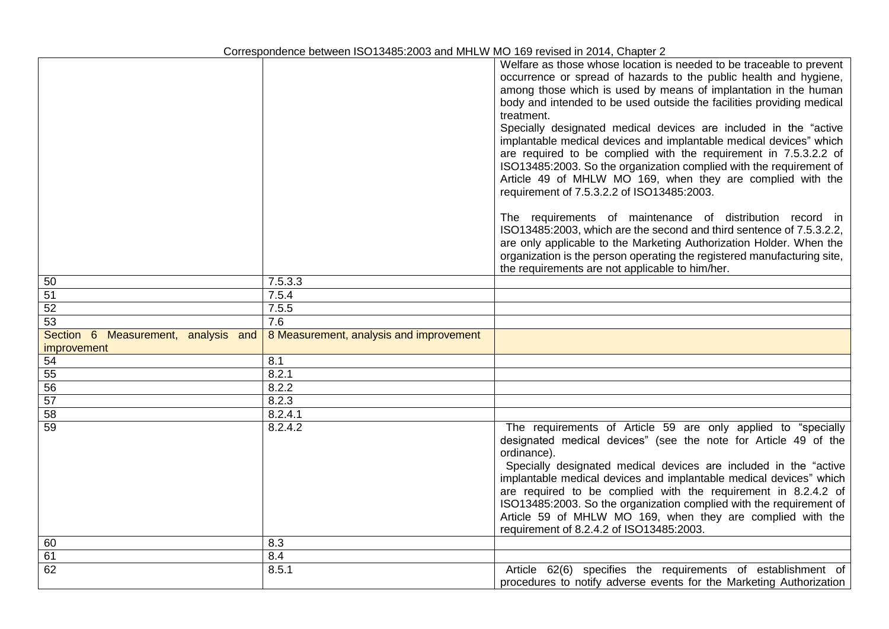|                                                    |                                         | Welfare as those whose location is needed to be traceable to prevent<br>occurrence or spread of hazards to the public health and hygiene,<br>among those which is used by means of implantation in the human<br>body and intended to be used outside the facilities providing medical<br>treatment.<br>Specially designated medical devices are included in the "active<br>implantable medical devices and implantable medical devices" which<br>are required to be complied with the requirement in 7.5.3.2.2 of<br>ISO13485:2003. So the organization complied with the requirement of<br>Article 49 of MHLW MO 169, when they are complied with the<br>requirement of 7.5.3.2.2 of ISO13485:2003.<br>The requirements of maintenance of distribution record in<br>ISO13485:2003, which are the second and third sentence of 7.5.3.2.2, |
|----------------------------------------------------|-----------------------------------------|-------------------------------------------------------------------------------------------------------------------------------------------------------------------------------------------------------------------------------------------------------------------------------------------------------------------------------------------------------------------------------------------------------------------------------------------------------------------------------------------------------------------------------------------------------------------------------------------------------------------------------------------------------------------------------------------------------------------------------------------------------------------------------------------------------------------------------------------|
|                                                    |                                         | are only applicable to the Marketing Authorization Holder. When the<br>organization is the person operating the registered manufacturing site,<br>the requirements are not applicable to him/her.                                                                                                                                                                                                                                                                                                                                                                                                                                                                                                                                                                                                                                         |
| 50                                                 | 7.5.3.3                                 |                                                                                                                                                                                                                                                                                                                                                                                                                                                                                                                                                                                                                                                                                                                                                                                                                                           |
| 51                                                 | 7.5.4                                   |                                                                                                                                                                                                                                                                                                                                                                                                                                                                                                                                                                                                                                                                                                                                                                                                                                           |
| 52                                                 | 7.5.5                                   |                                                                                                                                                                                                                                                                                                                                                                                                                                                                                                                                                                                                                                                                                                                                                                                                                                           |
| 53                                                 | 7.6                                     |                                                                                                                                                                                                                                                                                                                                                                                                                                                                                                                                                                                                                                                                                                                                                                                                                                           |
| Section 6 Measurement, analysis and<br>improvement | 8 Measurement, analysis and improvement |                                                                                                                                                                                                                                                                                                                                                                                                                                                                                                                                                                                                                                                                                                                                                                                                                                           |
| 54                                                 | 8.1                                     |                                                                                                                                                                                                                                                                                                                                                                                                                                                                                                                                                                                                                                                                                                                                                                                                                                           |
| 55                                                 | 8.2.1                                   |                                                                                                                                                                                                                                                                                                                                                                                                                                                                                                                                                                                                                                                                                                                                                                                                                                           |
| 56                                                 | 8.2.2                                   |                                                                                                                                                                                                                                                                                                                                                                                                                                                                                                                                                                                                                                                                                                                                                                                                                                           |
| 57                                                 | 8.2.3                                   |                                                                                                                                                                                                                                                                                                                                                                                                                                                                                                                                                                                                                                                                                                                                                                                                                                           |
| 58                                                 | 8.2.4.1                                 |                                                                                                                                                                                                                                                                                                                                                                                                                                                                                                                                                                                                                                                                                                                                                                                                                                           |
| 59                                                 | 8.2.4.2                                 | The requirements of Article 59 are only applied to "specially<br>designated medical devices" (see the note for Article 49 of the<br>ordinance).<br>Specially designated medical devices are included in the "active<br>implantable medical devices and implantable medical devices" which<br>are required to be complied with the requirement in 8.2.4.2 of<br>ISO13485:2003. So the organization complied with the requirement of<br>Article 59 of MHLW MO 169, when they are complied with the<br>requirement of 8.2.4.2 of ISO13485:2003.                                                                                                                                                                                                                                                                                              |
| 60                                                 | 8.3                                     |                                                                                                                                                                                                                                                                                                                                                                                                                                                                                                                                                                                                                                                                                                                                                                                                                                           |
| 61                                                 | 8.4                                     |                                                                                                                                                                                                                                                                                                                                                                                                                                                                                                                                                                                                                                                                                                                                                                                                                                           |
| 62                                                 | 8.5.1                                   | Article 62(6) specifies the requirements of establishment of<br>procedures to notify adverse events for the Marketing Authorization                                                                                                                                                                                                                                                                                                                                                                                                                                                                                                                                                                                                                                                                                                       |